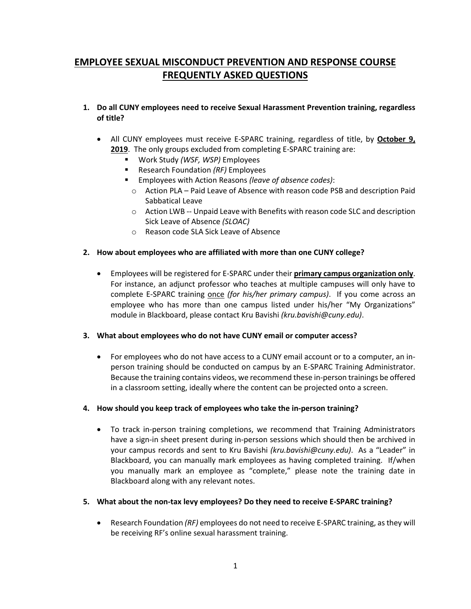# **EMPLOYEE SEXUAL MISCONDUCT PREVENTION AND RESPONSE COURSE FREQUENTLY ASKED QUESTIONS**

- **1. Do all CUNY employees need to receive Sexual Harassment Prevention training, regardless of title?**
	- All CUNY employees must receive E-SPARC training, regardless of title, by **October 9, 2019**. The only groups excluded from completing E-SPARC training are:
		- Work Study *(WSF, WSP)* Employees
		- Research Foundation *(RF)* Employees
		- Employees with Action Reasons *(leave of absence codes)*:
			- o Action PLA Paid Leave of Absence with reason code PSB and description Paid Sabbatical Leave
			- o Action LWB -- Unpaid Leave with Benefits with reason code SLC and description Sick Leave of Absence *(SLOAC)*
			- o Reason code SLA Sick Leave of Absence

## **2. How about employees who are affiliated with more than one CUNY college?**

• Employees will be registered for E-SPARC under their **primary campus organization only**. For instance, an adjunct professor who teaches at multiple campuses will only have to complete E-SPARC training once *(for his/her primary campus)*. If you come across an employee who has more than one campus listed under his/her "My Organizations" module in Blackboard, please contact Kru Bavishi *(kru.bavishi@cuny.edu)*.

## **3. What about employees who do not have CUNY email or computer access?**

• For employees who do not have access to a CUNY email account or to a computer, an inperson training should be conducted on campus by an E-SPARC Training Administrator. Because the training contains videos, we recommend these in-person trainings be offered in a classroom setting, ideally where the content can be projected onto a screen.

## **4. How should you keep track of employees who take the in-person training?**

- To track in-person training completions, we recommend that Training Administrators have a sign-in sheet present during in-person sessions which should then be archived in your campus records and sent to Kru Bavishi *(kru.bavishi@cuny.edu)*. As a "Leader" in Blackboard, you can manually mark employees as having completed training. If/when you manually mark an employee as "complete," please note the training date in Blackboard along with any relevant notes.
- **5. What about the non-tax levy employees? Do they need to receive E-SPARC training?** 
	- Research Foundation *(RF)* employees do not need to receive E-SPARC training, as they will be receiving RF's online sexual harassment training.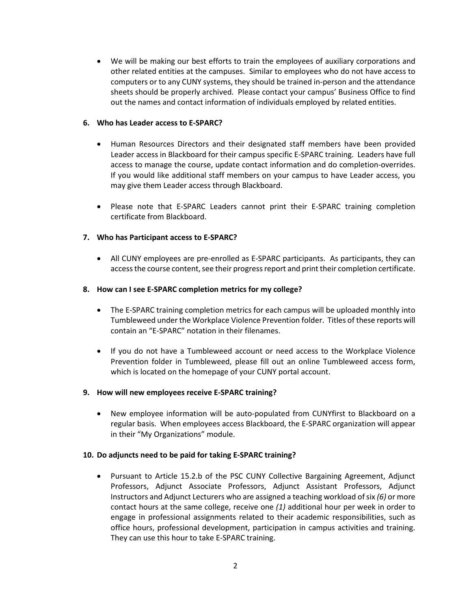• We will be making our best efforts to train the employees of auxiliary corporations and other related entities at the campuses. Similar to employees who do not have access to computers or to any CUNY systems, they should be trained in-person and the attendance sheets should be properly archived. Please contact your campus' Business Office to find out the names and contact information of individuals employed by related entities.

## **6. Who has Leader access to E-SPARC?**

- Human Resources Directors and their designated staff members have been provided Leader access in Blackboard for their campus specific E-SPARC training. Leaders have full access to manage the course, update contact information and do completion-overrides. If you would like additional staff members on your campus to have Leader access, you may give them Leader access through Blackboard.
- Please note that E-SPARC Leaders cannot print their E-SPARC training completion certificate from Blackboard.

## **7. Who has Participant access to E-SPARC?**

• All CUNY employees are pre-enrolled as E-SPARC participants. As participants, they can access the course content, see their progress report and print their completion certificate.

#### **8. How can I see E-SPARC completion metrics for my college?**

- The E-SPARC training completion metrics for each campus will be uploaded monthly into Tumbleweed under the Workplace Violence Prevention folder. Titles of these reports will contain an "E-SPARC" notation in their filenames.
- If you do not have a Tumbleweed account or need access to the Workplace Violence Prevention folder in Tumbleweed, please fill out an online Tumbleweed access form, which is located on the homepage of your CUNY portal account.

## **9. How will new employees receive E-SPARC training?**

• New employee information will be auto-populated from CUNYfirst to Blackboard on a regular basis. When employees access Blackboard, the E-SPARC organization will appear in their "My Organizations" module.

## **10. Do adjuncts need to be paid for taking E-SPARC training?**

• Pursuant to Article 15.2.b of the PSC CUNY Collective Bargaining Agreement, Adjunct Professors, Adjunct Associate Professors, Adjunct Assistant Professors, Adjunct Instructors and Adjunct Lecturers who are assigned a teaching workload of six *(6)* or more contact hours at the same college, receive one *(1)* additional hour per week in order to engage in professional assignments related to their academic responsibilities, such as office hours, professional development, participation in campus activities and training. They can use this hour to take E-SPARC training.